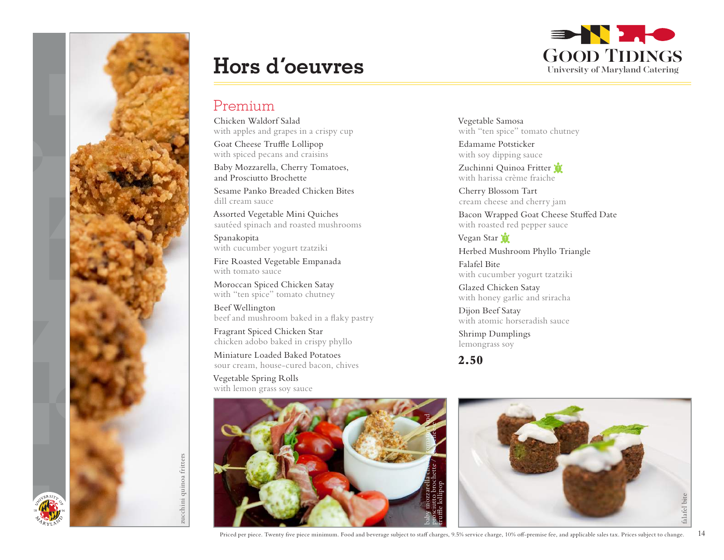

# **Hors d'oeuvres**

## Premium

Chicken Waldorf Salad with apples and grapes in a crispy cup

Goat Cheese Truffle Lollipop with spiced pecans and craisins

Baby Mozzarella, Cherry Tomatoes, and Prosciutto Brochette

Sesame Panko Breaded Chicken Bites dill cream sauce

Assorted Vegetable Mini Quiches sautéed spinach and roasted mushrooms

Spanakopita with cucumber yogurt tzatziki

Fire Roasted Vegetable Empanada with tomato sauce

Moroccan Spiced Chicken Satay with "ten spice" tomato chutney

Beef Wellington beef and mushroom baked in a flaky pastry

Fragrant Spiced Chicken Star chicken adobo baked in crispy phyllo

Miniature Loaded Baked Potatoes sour cream, house-cured bacon, chives

Vegetable Spring Rolls with lemon grass soy sauce



Vegetable Samosa with "ten spice" tomato chutney

Edamame Potsticker with soy dipping sauce

Zuchinni Quinoa Fritter with harissa crème fraiche

Cherry Blossom Tart cream cheese and cherry jam

Bacon Wrapped Goat Cheese Stuffed Date with roasted red pepper sauce

Vegan Star Herbed Mushroom Phyllo Triangle

Falafel Bite with cucumber yogurt tzatziki

Glazed Chicken Satay with honey garlic and sriracha

Dijon Beef Satay with atomic horseradish sauce

Shrimp Dumplings lemongrass soy

### **2.50**



Priced per piece. Twenty five piece minimum. Food and beverage subject to staff charges, 9.5% service charge, 10% off-premise fee, and applicable sales tax. Prices subject to change. 14